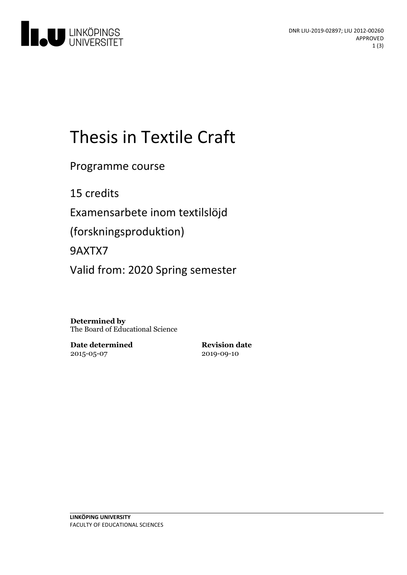

# Thesis in Textile Craft

Programme course

15 credits

Examensarbete inom textilslöjd

(forskningsproduktion)

9AXTX7

Valid from: 2020 Spring semester

**Determined by** The Board of Educational Science

**Date determined** 2015-05-07

**Revision date** 2019-09-10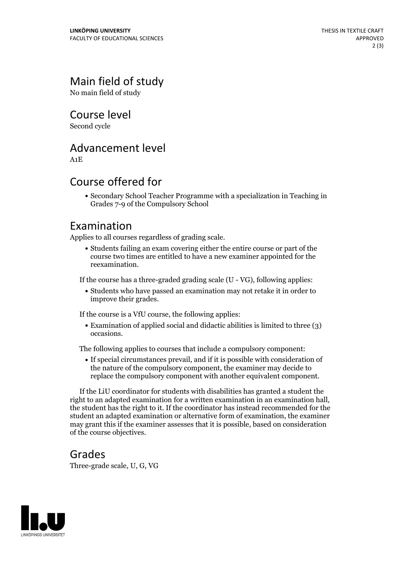## Main field of study

No main field of study

Course level

Second cycle

#### Advancement level

A1E

#### Course offered for

Secondary School Teacher Programme with a specialization in Teaching in Grades 7-9 of the Compulsory School

#### Examination

Applies to all courses regardless of grading scale.

Students failing an exam covering either the entire course or part of the course two times are entitled to have a new examiner appointed for the reexamination.

If the course has a three-graded grading scale (U - VG), following applies:

Students who have passed an examination may not retake it in order to improve their grades.

If the course is a VfU course, the following applies:

Examination of applied social and didactic abilities is limited to three (3) occasions.

The following applies to courses that include a compulsory component:

If special circumstances prevail, and if it is possible with consideration of the nature of the compulsory component, the examiner may decide to replace the compulsory component with another equivalent component.

If the LiU coordinator for students with disabilities has granted a student the right to an adapted examination for <sup>a</sup> written examination in an examination hall, the student has the right to it. If the coordinator has instead recommended for the student an adapted examination or alternative form of examination, the examiner may grant this if the examiner assesses that it is possible, based on consideration of the course objectives.

#### Grades

Three-grade scale, U, G, VG